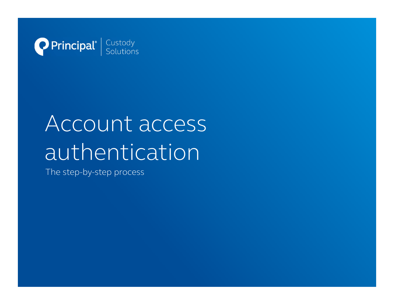

# Account access authentication

The step-by-step process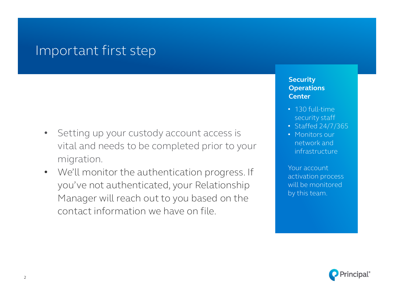### Important first step

- Setting up your custody account access is vital and needs to be completed prior to your migration.
- We'll monitor the authentication progress. If you've not authenticated, your Relationship Manager will reach out to you based on the contact information we have on file.

### **Security Operations Center**

- 130 full-time security staff
- Staffed  $2\overline{4/7/365}$
- Monitors our network and infrastructure

Your account activation process will be monitored by this team.

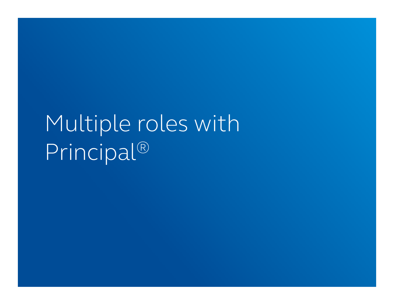# Multiple roles with Principal®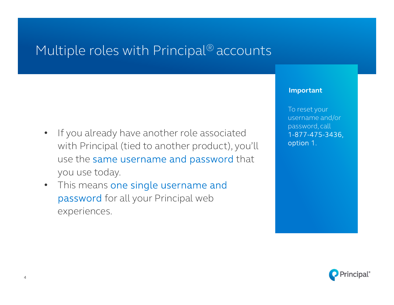# Multiple roles with Principal<sup>®</sup> accounts

- If you already have another role associated with Principal (tied to another product), you'll use the same username and password that you use today.
- This means one single username and password for all your Principal web experiences.

### **Important**

To reset your username and/or password, call 1-877-475-3436, option 1.

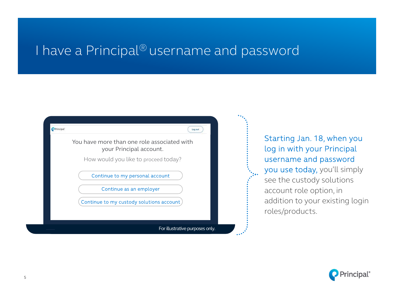## I have a Principal<sup>®</sup> username and password



Starting Jan. 18, when you log in with your Principal username and password you use today, you'll simply see the custody solutions account role option, in addition to your existing login roles/products.

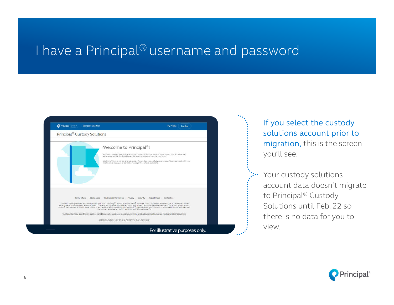## I have a Principal<sup>®</sup> username and password



If you select the custody solutions account prior to migration, this is the screen you'll see.

Your custody solutions account data doesn't migrate to Principal® Custody Solutions until Feb. 22 so there is no data for you to

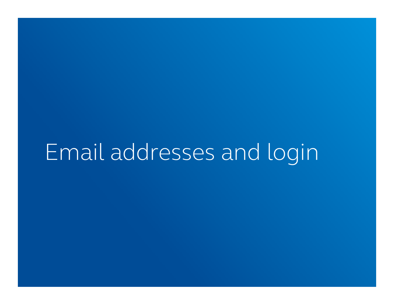# Email addresses and login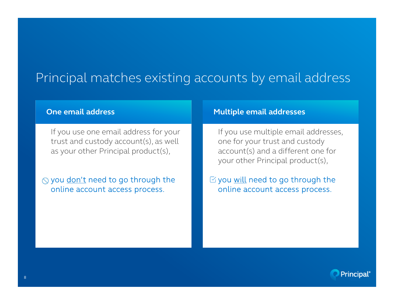## Principal matches existing accounts by email address

If you use one email address for your trust and custody account(s), as well as your other Principal product(s),

 $\Diamond$  you don't need to go through the online account access process.

### **One email address and addresses Multiple email addresses**

If you use multiple email addresses, one for your trust and custody account(s) and a different one for your other Principal product(s),

 $\heartsuit$  you will need to go through the online account access process.

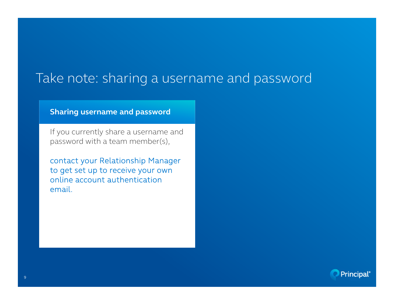## Take note: sharing a username and password

### **Sharing username and password**

If you currently share a username and password with a team member(s),

contact your Relationship Manager to get set up to receive your own online account authentication email.

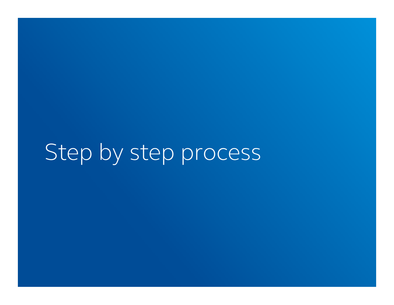# Step by step process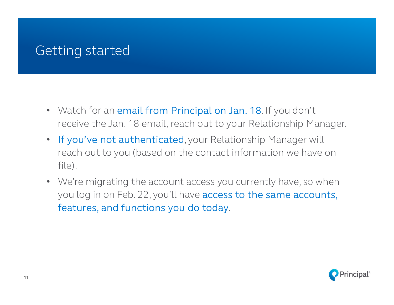# Getting started

- Watch for an email from Principal on Jan. 18. If you don't receive the Jan. 18 email, reach out to your Relationship Manager.
- If you've not authenticated, your Relationship Manager will reach out to you (based on the contact information we have on file).
- We're migrating the account access you currently have, so when you log in on Feb. 22, you'll have access to the same accounts, features, and functions you do today.

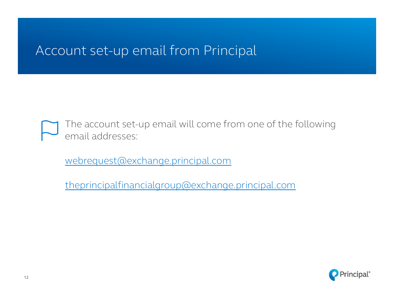## Account set-up email from Principal

The account set-up email will come from one of the following email addresses:

webrequest@exchange.principal.com

theprincipalfinancialgroup@exchange.principal.com

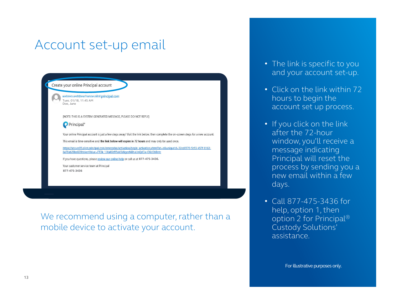# Account set-up email



We recommend using a computer, rather than a mobile device to activate your account.

- The link is specific to you and your account set-up.
- Click on the link within 72 hours to begin the account set up process.
- If you click on the link after the 72-hour window, you'll receive a message indicating Principal will reset the process by sending you a new email within a few days.
- Call 877-475-3436 for help, option 1, then option 2 for Principal® Custody Solutions' assistance.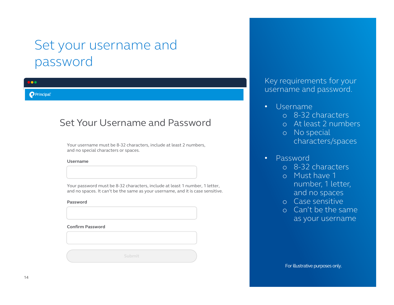# Set your username and password

#### $\bullet$

#### **O** Principal®

### Set Your Username and Password

Your username must be 8-32 characters, include at least 2 numbers, and no special characters or spaces.

#### **Username**

Your password must be 8-32 characters, include at least 1 number, 1 letter, and no spaces. It can't be the same as your username, and it is case sensitive.

#### **Password**

**Confirm Password**

**Submit Submit**

Key requirements for your username and password.

### • Username

- o 8-32 characters
- o At least 2 numbers
- o No special characters/spaces

### • Password

- o 8-32 characters
- o Must have 1 number, 1 letter, and no spaces
- o Case sensitive
- o Can't be the same as your username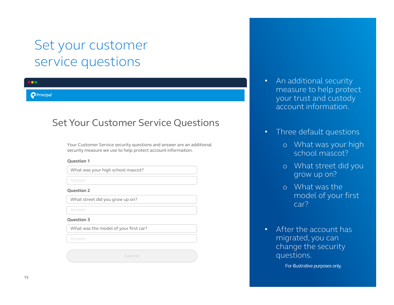# Set your customer service questions

#### $\bullet$

#### **O** Principal

### Set Your Customer Service Questions

Your Customer Service security questions and answer are an additional security measure we use to help protect account information.

#### **Question 1**

What was your high school mascot?

Answer

#### **Question 2**

What street did you grow up on?

Answer

#### **Question 3**

What was the model of your first car?

Answer

- An additional security measure to help protect your trust and custody account information.
- Three default questions
	- o What was your high school mascot?
	- o What street did you grow up on?
	- o What was the model of your first car?
- After the account has migrated, you can change the security questions.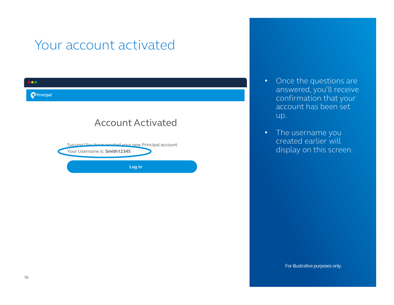# Your account activated

| <b>DOO</b>                                                                            |  |
|---------------------------------------------------------------------------------------|--|
| <b>Principal</b>                                                                      |  |
| <b>Account Activated</b>                                                              |  |
| Successi You have created your new Principal account.<br>Your Username is: Smith12345 |  |
| Log in                                                                                |  |

- Once the questions are answered, you'll receive confirmation that your account has been set up.
- The username you created earlier will display on this screen.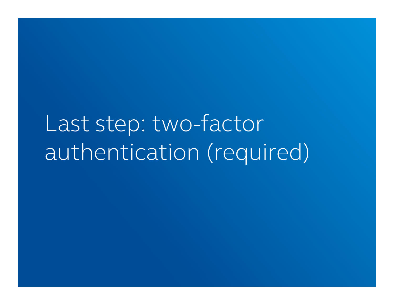Last step: two-factor authentication (required)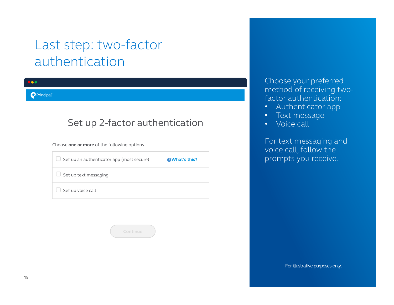# Last step: two-factor authentication

 $\bullet$ 

**O** Principal®

### Set up 2-factor authentication

Choose **one or more** of the following options

| Set up an authenticator app (most secure) | <b>@What's this?</b> |
|-------------------------------------------|----------------------|
| Set up text messaging                     |                      |
| Set up voice call                         |                      |

Choose your preferred method of receiving twofactor authentication:

- Authenticator app
- Text message
- Voice call

For text messaging and voice call, follow the prompts you receive.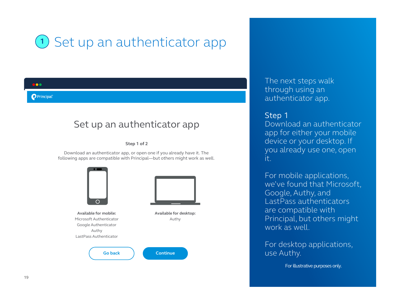# 1) Set up an authenticator app

#### **O** Principal

### Set up an authenticator app

**Step 1 of 2**

Download an authenticator app, or open one if you already have it. The following apps are compatible with Principal—but others might work as well.



The next steps walk through using an authenticator app.

### Step 1

Download an authenticator app for either your mobile device or your desktop. If you already use one, open it.

For mobile applications, we've found that Microsoft, Google, Authy, and LastPass authenticators are compatible with Principal, but others might work as well

For desktop applications, use Authy.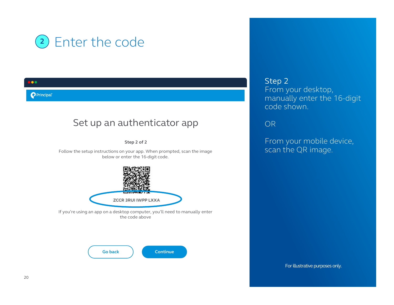

### Set up an authenticator app

**Step 2 of 2**

Follow the setup instructions on your app. When prompted, scan the image below or enter the 16-digit code.



If you're using an app on a desktop computer, you'll need to manually enter the code above



Step 2 From your desktop, manually enter the 16-digit code shown.

OR

From your mobile device, scan the QR image.

For illustrative purposes only.

 $\bullet$ 

**O** Principal®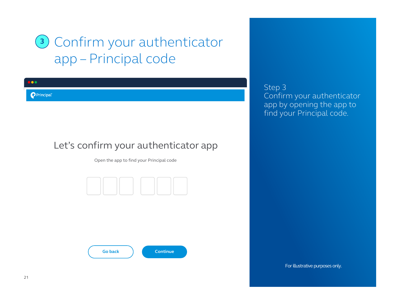# Confirm your authenticator **3**app – Principal code

### Let's confirm your authenticator app

Open the app to find your Principal code



**Continue**

**Go back**

Step 3 Confirm your authenticator app by opening the app to find your Principal code.

For illustrative purposes only.

 $\bullet$ 

**P**Principal®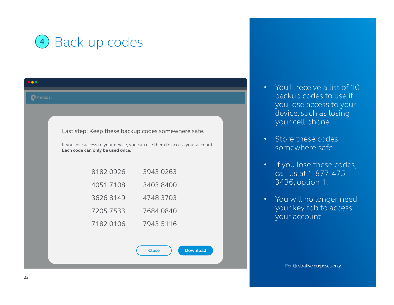

| 100                    |                                  |                                                                             |
|------------------------|----------------------------------|-----------------------------------------------------------------------------|
| Principal <sup>®</sup> |                                  |                                                                             |
|                        |                                  |                                                                             |
|                        |                                  | Last step! Keep these backup codes somewhere safe.                          |
|                        | Each code can only be used once. | If you lose access to your device, you can use them to access your account. |
|                        | 8182 0926                        | 3943 0263                                                                   |
|                        | 40517108                         | 3403 8400                                                                   |
|                        | 36268149                         | 4748 3703                                                                   |
|                        | 7205 7533                        | 7684 0840                                                                   |
|                        | 7182 0106                        | 7943 5116                                                                   |
|                        |                                  |                                                                             |
|                        |                                  | <b>Download</b><br><b>Close</b>                                             |

- You'll receive a list of 10 backup codes to use if you lose access to your device, such as losing your cell phone.
- Store these codes somewhere safe.
- If you lose these codes, call us at 1-877-475- 3436, option 1.
- You will no longer need your key fob to access your account.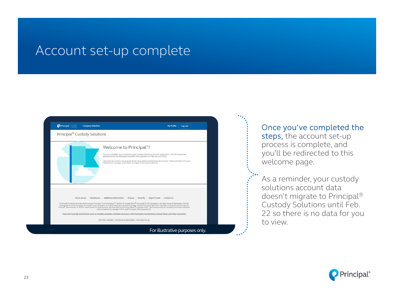### Account set-up complete



### Once you've completed the

steps, the account set-up process is complete, and you'll be redirected to this welcome page.

As a reminder, your custody solutions account data doesn't migrate to Principal® Custody Solutions until Feb. 22 so there is no data for you to view.

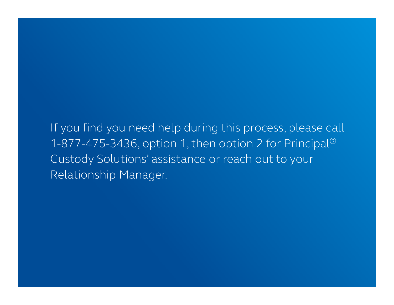If you find you need help during this process, please call 1-877-475-3436, option 1, then option 2 for Principal® Custody Solutions' assistance or reach out to your Relationship Manager.